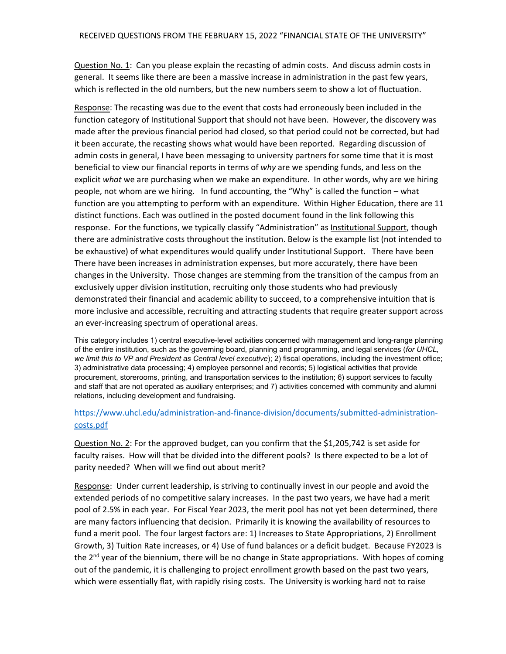Question No. 1: Can you please explain the recasting of admin costs. And discuss admin costs in general. It seems like there are been a massive increase in administration in the past few years, which is reflected in the old numbers, but the new numbers seem to show a lot of fluctuation.

Response: The recasting was due to the event that costs had erroneously been included in the function category of *Institutional Support* that should not have been. However, the discovery was made after the previous financial period had closed, so that period could not be corrected, but had it been accurate, the recasting shows what would have been reported. Regarding discussion of admin costs in general, I have been messaging to university partners for some time that it is most beneficial to view our financial reports in terms of *why* are we spending funds, and less on the explicit *what* we are purchasing when we make an expenditure. In other words, why are we hiring people, not whom are we hiring. In fund accounting, the "Why" is called the function – what function are you attempting to perform with an expenditure. Within Higher Education, there are 11 distinct functions. Each was outlined in the posted document found in the link following this response. For the functions, we typically classify "Administration" as Institutional Support, though there are administrative costs throughout the institution. Below is the example list (not intended to be exhaustive) of what expenditures would qualify under Institutional Support. There have been There have been increases in administration expenses, but more accurately, there have been changes in the University. Those changes are stemming from the transition of the campus from an exclusively upper division institution, recruiting only those students who had previously demonstrated their financial and academic ability to succeed, to a comprehensive intuition that is more inclusive and accessible, recruiting and attracting students that require greater support across an ever‐increasing spectrum of operational areas.

This category includes 1) central executive-level activities concerned with management and long-range planning of the entire institution, such as the governing board, planning and programming, and legal services (*for UHCL, we limit this to VP and President as Central level executive*); 2) fiscal operations, including the investment office; 3) administrative data processing; 4) employee personnel and records; 5) logistical activities that provide procurement, storerooms, printing, and transportation services to the institution; 6) support services to faculty and staff that are not operated as auxiliary enterprises; and 7) activities concerned with community and alumni relations, including development and fundraising.

## [https://www.uhcl.edu/administration](https://www.uhcl.edu/administration-and-finance-division/documents/submitted-administration)‐and‐finance‐division/documents/submitted‐administration‐ costs.pdf

Question No. 2: For the approved budget, can you confirm that the \$1,205,742 is set aside for faculty raises. How will that be divided into the different pools? Is there expected to be a lot of parity needed? When will we find out about merit?

Response: Under current leadership, is striving to continually invest in our people and avoid the extended periods of no competitive salary increases. In the past two years, we have had a merit pool of 2.5% in each year. For Fiscal Year 2023, the merit pool has not yet been determined, there are many factors influencing that decision. Primarily it is knowing the availability of resources to fund a merit pool. The four largest factors are: 1) Increases to State Appropriations, 2) Enrollment Growth, 3) Tuition Rate increases, or 4) Use of fund balances or a deficit budget. Because FY2023 is the 2<sup>nd</sup> year of the biennium, there will be no change in State appropriations. With hopes of coming out of the pandemic, it is challenging to project enrollment growth based on the past two years, which were essentially flat, with rapidly rising costs. The University is working hard not to raise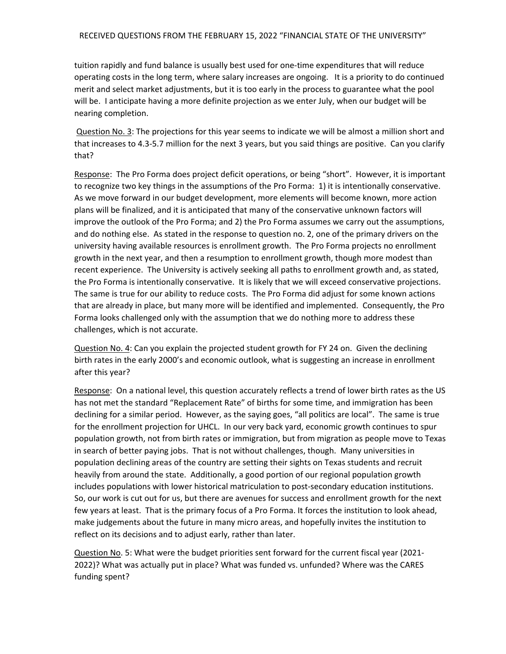tuition rapidly and fund balance is usually best used for one‐time expenditures that will reduce operating costs in the long term, where salary increases are ongoing. It is a priority to do continued merit and select market adjustments, but it is too early in the process to guarantee what the pool will be. I anticipate having a more definite projection as we enter July, when our budget will be nearing completion.

Question No. 3: The projections for this year seems to indicate we will be almost a million short and that increases to 4.3‐5.7 million for the next 3 years, but you said things are positive. Can you clarify that?

Response: The Pro Forma does project deficit operations, or being "short". However, it is important to recognize two key things in the assumptions of the Pro Forma: 1) it is intentionally conservative. As we move forward in our budget development, more elements will become known, more action plans will be finalized, and it is anticipated that many of the conservative unknown factors will improve the outlook of the Pro Forma; and 2) the Pro Forma assumes we carry out the assumptions, and do nothing else. As stated in the response to question no. 2, one of the primary drivers on the university having available resources is enrollment growth. The Pro Forma projects no enrollment growth in the next year, and then a resumption to enrollment growth, though more modest than recent experience. The University is actively seeking all paths to enrollment growth and, as stated, the Pro Forma is intentionally conservative. It is likely that we will exceed conservative projections. The same is true for our ability to reduce costs. The Pro Forma did adjust for some known actions that are already in place, but many more will be identified and implemented. Consequently, the Pro Forma looks challenged only with the assumption that we do nothing more to address these challenges, which is not accurate.

Question No. 4: Can you explain the projected student growth for FY 24 on. Given the declining birth rates in the early 2000's and economic outlook, what is suggesting an increase in enrollment after this year?

Response: On a national level, this question accurately reflects a trend of lower birth rates as the US has not met the standard "Replacement Rate" of births for some time, and immigration has been declining for a similar period. However, as the saying goes, "all politics are local". The same is true for the enrollment projection for UHCL. In our very back yard, economic growth continues to spur population growth, not from birth rates or immigration, but from migration as people move to Texas in search of better paying jobs. That is not without challenges, though. Many universities in population declining areas of the country are setting their sights on Texas students and recruit heavily from around the state. Additionally, a good portion of our regional population growth includes populations with lower historical matriculation to post‐secondary education institutions. So, our work is cut out for us, but there are avenues for success and enrollment growth for the next few years at least. That is the primary focus of a Pro Forma. It forces the institution to look ahead, make judgements about the future in many micro areas, and hopefully invites the institution to reflect on its decisions and to adjust early, rather than later.

Question No. 5: What were the budget priorities sent forward for the current fiscal year (2021- 2022)? What was actually put in place? What was funded vs. unfunded? Where was the CARES funding spent?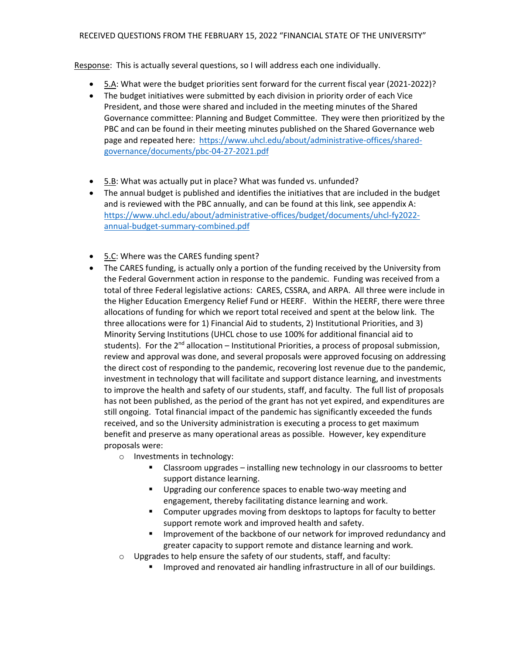Response: This is actually several questions, so I will address each one individually.

- 5.A: What were the budget priorities sent forward for the current fiscal year (2021-2022)?
- The budget initiatives were submitted by each division in priority order of each Vice President, and those were shared and included in the meeting minutes of the Shared Governance committee: Planning and Budget Committee. They were then prioritized by the PBC and can be found in their meeting minutes published on the Shared Governance web page and repeated here: [https://www.uhcl.edu/about/administrative](https://www.uhcl.edu/about/administrative-offices/shared)-offices/sharedgovernance/documents/pbc‐04‐27‐2021.pdf
- $\bullet$  5.B: What was actually put in place? What was funded vs. unfunded?
- The annual budget is published and identifies the initiatives that are included in the budget and is reviewed with the PBC annually, and can be found at this link, see appendix A: [https://www.uhcl.edu/about/administrative](https://www.uhcl.edu/about/administrative-offices/budget/documents/uhcl-fy2022)‐offices/budget/documents/uhcl‐fy2022‐ annual‐budget‐summary‐combined.pdf
- 5.C: Where was the CARES funding spent?
- The CARES funding, is actually only a portion of the funding received by the University from the Federal Government action in response to the pandemic. Funding was received from a total of three Federal legislative actions: CARES, CSSRA, and ARPA. All three were include in the Higher Education Emergency Relief Fund or HEERF. Within the HEERF, there were three allocations of funding for which we report total received and spent at the below link. The three allocations were for 1) Financial Aid to students, 2) Institutional Priorities, and 3) Minority Serving Institutions (UHCL chose to use 100% for additional financial aid to students). For the 2<sup>nd</sup> allocation – Institutional Priorities, a process of proposal submission, review and approval was done, and several proposals were approved focusing on addressing the direct cost of responding to the pandemic, recovering lost revenue due to the pandemic, investment in technology that will facilitate and support distance learning, and investments to improve the health and safety of our students, staff, and faculty. The full list of proposals has not been published, as the period of the grant has not yet expired, and expenditures are still ongoing. Total financial impact of the pandemic has significantly exceeded the funds received, and so the University administration is executing a process to get maximum benefit and preserve as many operational areas as possible. However, key expenditure proposals were:
	- o Investments in technology:
		- **EXTE:** Classroom upgrades installing new technology in our classrooms to better support distance learning.
		- Upgrading our conference spaces to enable two-way meeting and engagement, thereby facilitating distance learning and work.
		- **EXP** Computer upgrades moving from desktops to laptops for faculty to better support remote work and improved health and safety.
		- Improvement of the backbone of our network for improved redundancy and greater capacity to support remote and distance learning and work.
	- o Upgrades to help ensure the safety of our students, staff, and faculty:
		- **IMPROVED and renovated air handling infrastructure in all of our buildings.**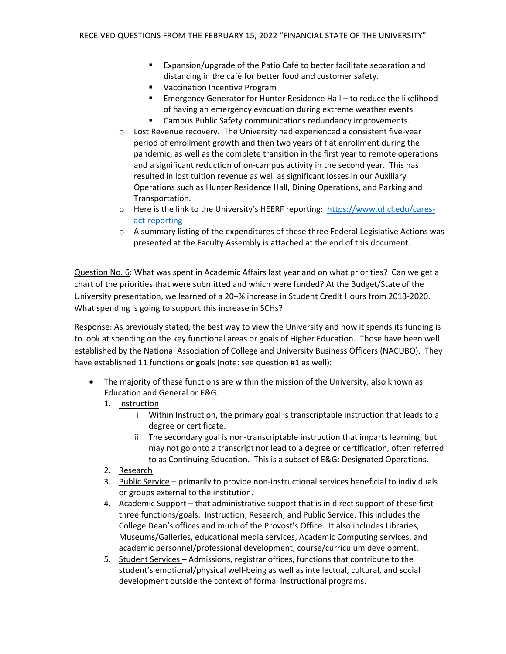- **Expansion/upgrade of the Patio Café to better facilitate separation and** distancing in the café for better food and customer safety.
- **Vaccination Incentive Program**
- Emergency Generator for Hunter Residence Hall to reduce the likelihood of having an emergency evacuation during extreme weather events.
- **E** Campus Public Safety communications redundancy improvements.
- o Lost Revenue recovery. The University had experienced a consistent five‐year period of enrollment growth and then two years of flat enrollment during the pandemic, as well as the complete transition in the first year to remote operations and a significant reduction of on‐campus activity in the second year. This has resulted in lost tuition revenue as well as significant losses in our Auxiliary Operations such as Hunter Residence Hall, Dining Operations, and Parking and Transportation.
- o Here is the link to the University's HEERF reporting: <https://www.uhcl.edu/cares>act‐reporting
- $\circ$  A summary listing of the expenditures of these three Federal Legislative Actions was presented at the Faculty Assembly is attached at the end of this document.

Question No. 6: What was spent in Academic Affairs last year and on what priorities? Can we get a chart of the priorities that were submitted and which were funded? At the Budget/State of the University presentation, we learned of a 20+% increase in Student Credit Hours from 2013‐2020. What spending is going to support this increase in SCHs?

Response: As previously stated, the best way to view the University and how it spends its funding is to look at spending on the key functional areas or goals of Higher Education. Those have been well established by the National Association of College and University Business Officers (NACUBO). They have established 11 functions or goals (note: see question #1 as well):

- The majority of these functions are within the mission of the University, also known as Education and General or E&G.
	- 1. Instruction
		- i. Within Instruction, the primary goal is transcriptable instruction that leads to a degree or certificate.
		- ii. The secondary goal is non-transcriptable instruction that imparts learning, but may not go onto a transcript nor lead to a degree or certification, often referred to as Continuing Education. This is a subset of E&G: Designated Operations.
	- 2. Research
	- 3. Public Service primarily to provide non-instructional services beneficial to individuals or groups external to the institution.
	- 4. Academic Support that administrative support that is in direct support of these first three functions/goals: Instruction; Research; and Public Service. This includes the College Dean's offices and much of the Provost's Office. It also includes Libraries, Museums/Galleries, educational media services, Academic Computing services, and academic personnel/professional development, course/curriculum development.
	- 5. Student Services Admissions, registrar offices, functions that contribute to the student's emotional/physical well‐being as well as intellectual, cultural, and social development outside the context of formal instructional programs.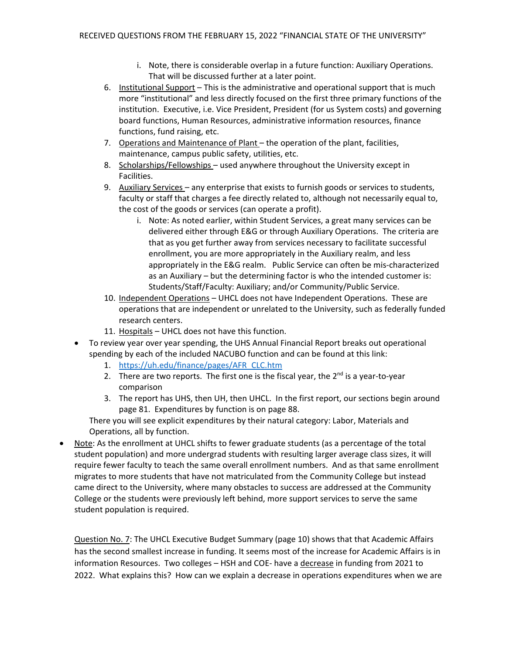- i. Note, there is considerable overlap in a future function: Auxiliary Operations. That will be discussed further at a later point.
- 6. Institutional Support This is the administrative and operational support that is much more "institutional" and less directly focused on the first three primary functions of the institution. Executive, i.e. Vice President, President (for us System costs) and governing board functions, Human Resources, administrative information resources, finance functions, fund raising, etc.
- 7. Operations and Maintenance of Plant the operation of the plant, facilities, maintenance, campus public safety, utilities, etc.
- 8. Scholarships/Fellowships used anywhere throughout the University except in Facilities.
- 9. Auxiliary Services any enterprise that exists to furnish goods or services to students, faculty or staff that charges a fee directly related to, although not necessarily equal to, the cost of the goods or services (can operate a profit).
	- i. Note: As noted earlier, within Student Services, a great many services can be delivered either through E&G or through Auxiliary Operations. The criteria are that as you get further away from services necessary to facilitate successful enrollment, you are more appropriately in the Auxiliary realm, and less appropriately in the E&G realm. Public Service can often be mis‐characterized as an Auxiliary – but the determining factor is who the intended customer is: Students/Staff/Faculty: Auxiliary; and/or Community/Public Service.
- 10. Independent Operations UHCL does not have Independent Operations. These are operations that are independent or unrelated to the University, such as federally funded research centers.
- 11. Hospitals UHCL does not have this function.
- To review year over year spending, the UHS Annual Financial Report breaks out operational spending by each of the included NACUBO function and can be found at this link:
	- 1. [https://uh.edu/finance/pages/AFR\\_CLC.htm](https://uh.edu/finance/pages/AFR_CLC.htm)
	- 2. There are two reports. The first one is the fiscal year, the 2<sup>nd</sup> is a year-to-year comparison
	- 3. The report has UHS, then UH, then UHCL. In the first report, our sections begin around page 81. Expenditures by function is on page 88.

 There you will see explicit expenditures by their natural category: Labor, Materials and Operations, all by function.

• Note: As the enrollment at UHCL shifts to fewer graduate students (as a percentage of the total student population) and more undergrad students with resulting larger average class sizes, it will require fewer faculty to teach the same overall enrollment numbers. And as that same enrollment migrates to more students that have not matriculated from the Community College but instead came direct to the University, where many obstacles to success are addressed at the Community College or the students were previously left behind, more support services to serve the same student population is required.

Question No. 7: The UHCL Executive Budget Summary (page 10) shows that that Academic Affairs has the second smallest increase in funding. It seems most of the increase for Academic Affairs is in information Resources. Two colleges – HSH and COE- have a decrease in funding from 2021 to 2022. What explains this? How can we explain a decrease in operations expenditures when we are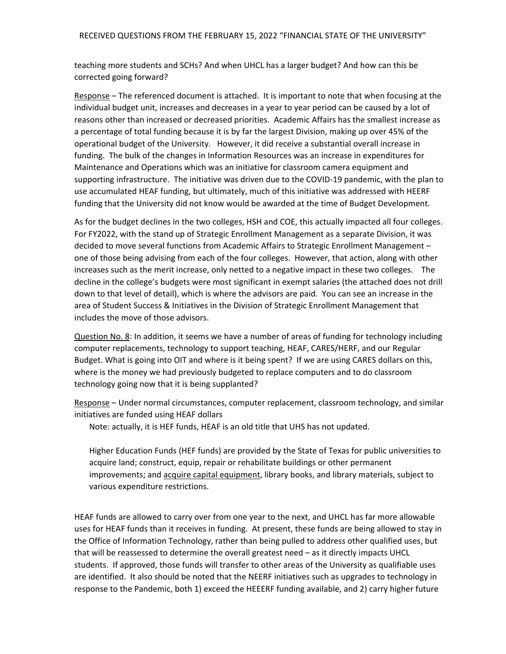teaching more students and SCHs? And when UHCL has a larger budget? And how can this be corrected going forward?

Response - The referenced document is attached. It is important to note that when focusing at the individual budget unit, increases and decreases in a year to year period can be caused by a lot of reasons other than increased or decreased priorities. Academic Affairs has the smallest increase as a percentage of total funding because it is by far the largest Division, making up over 45% of the operational budget of the University. However, it did receive a substantial overall increase in funding. The bulk of the changes in Information Resources was an increase in expenditures for Maintenance and Operations which was an initiative for classroom camera equipment and supporting infrastructure. The initiative was driven due to the COVID‐19 pandemic, with the plan to use accumulated HEAF funding, but ultimately, much of this initiative was addressed with HEERF funding that the University did not know would be awarded at the time of Budget Development.

 As for the budget declines in the two colleges, HSH and COE, this actually impacted all four colleges. For FY2022, with the stand up of Strategic Enrollment Management as a separate Division, it was decided to move several functions from Academic Affairs to Strategic Enrollment Management – one of those being advising from each of the four colleges. However, that action, along with other increases such as the merit increase, only netted to a negative impact in these two colleges. The decline in the college's budgets were most significant in exempt salaries (the attached does not drill down to that level of detail), which is where the advisors are paid. You can see an increase in the area of Student Success & Initiatives in the Division of Strategic Enrollment Management that includes the move of those advisors.

Question No. 8: In addition, it seems we have a number of areas of funding for technology including computer replacements, technology to support teaching, HEAF, CARES/HERF, and our Regular Budget. What is going into OIT and where is it being spent? If we are using CARES dollars on this, where is the money we had previously budgeted to replace computers and to do classroom technology going now that it is being supplanted?

Response - Under normal circumstances, computer replacement, classroom technology, and similar initiatives are funded using HEAF dollars

Note: actually, it is HEF funds, HEAF is an old title that UHS has not updated.

 Higher Education Funds (HEF funds) are provided by the State of Texas for public universities to acquire land; construct, equip, repair or rehabilitate buildings or other permanent improvements; and acquire capital equipment, library books, and library materials, subject to various expenditure restrictions.

 HEAF funds are allowed to carry over from one year to the next, and UHCL has far more allowable uses for HEAF funds than it receives in funding. At present, these funds are being allowed to stay in the Office of Information Technology, rather than being pulled to address other qualified uses, but that will be reassessed to determine the overall greatest need – as it directly impacts UHCL students. If approved, those funds will transfer to other areas of the University as qualifiable uses are identified. It also should be noted that the NEERF initiatives such as upgrades to technology in response to the Pandemic, both 1) exceed the HEEERF funding available, and 2) carry higher future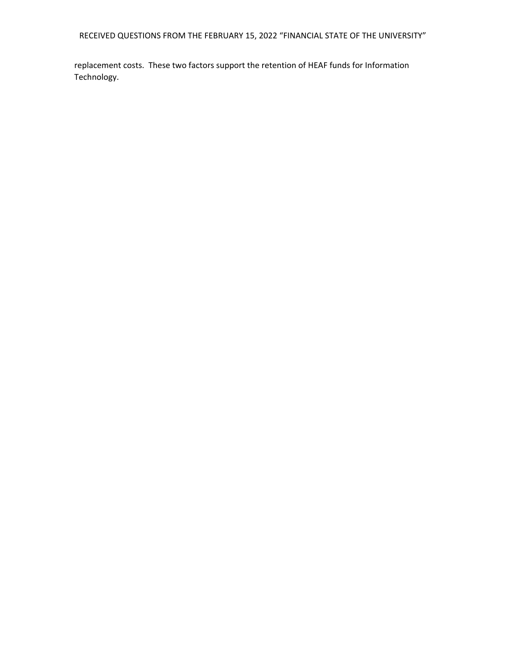RECEIVED QUESTIONS FROM THE FEBRUARY 15, 2022 "FINANCIAL STATE OF THE UNIVERSITY"

 replacement costs. These two factors support the retention of HEAF funds for Information Technology.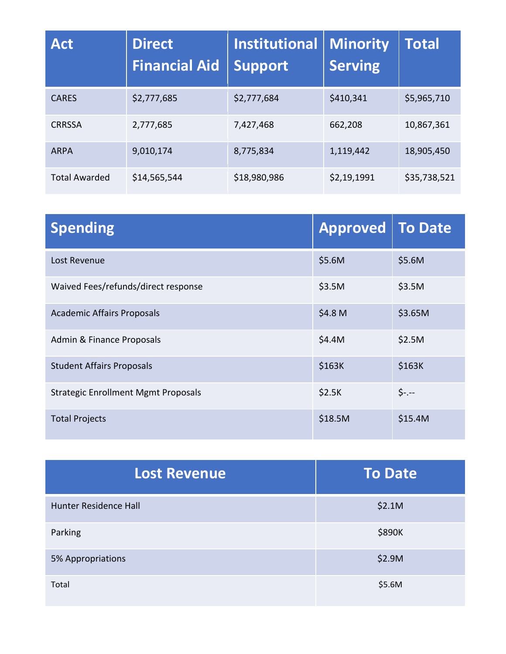| <b>Act</b>           | <b>Direct</b><br><b>Financial Aid</b> | <b>Institutional</b><br><b>Support</b> | <b>Minority</b><br><b>Serving</b> | Total        |
|----------------------|---------------------------------------|----------------------------------------|-----------------------------------|--------------|
| <b>CARES</b>         | \$2,777,685                           | \$2,777,684                            | \$410,341                         | \$5,965,710  |
| <b>CRRSSA</b>        | 2,777,685                             | 7,427,468                              | 662,208                           | 10,867,361   |
| <b>ARPA</b>          | 9,010,174                             | 8,775,834                              | 1,119,442                         | 18,905,450   |
| <b>Total Awarded</b> | \$14,565,544                          | \$18,980,986                           | \$2,19,1991                       | \$35,738,521 |

| <b>Spending</b>                            | Approved To Date |         |
|--------------------------------------------|------------------|---------|
| Lost Revenue                               | \$5.6M           | \$5.6M  |
| Waived Fees/refunds/direct response        | \$3.5M           | \$3.5M  |
| <b>Academic Affairs Proposals</b>          | \$4.8 M          | \$3.65M |
| Admin & Finance Proposals                  | \$4.4M           | \$2.5M  |
| <b>Student Affairs Proposals</b>           | \$163K           | \$163K  |
| <b>Strategic Enrollment Mgmt Proposals</b> | \$2.5K           | $$-.$   |
| <b>Total Projects</b>                      | \$18.5M          | \$15.4M |

| <b>Lost Revenue</b>   | <b>To Date</b> |  |  |
|-----------------------|----------------|--|--|
| Hunter Residence Hall | \$2.1M         |  |  |
| Parking               | \$890K         |  |  |
| 5% Appropriations     | \$2.9M         |  |  |
| Total                 | \$5.6M         |  |  |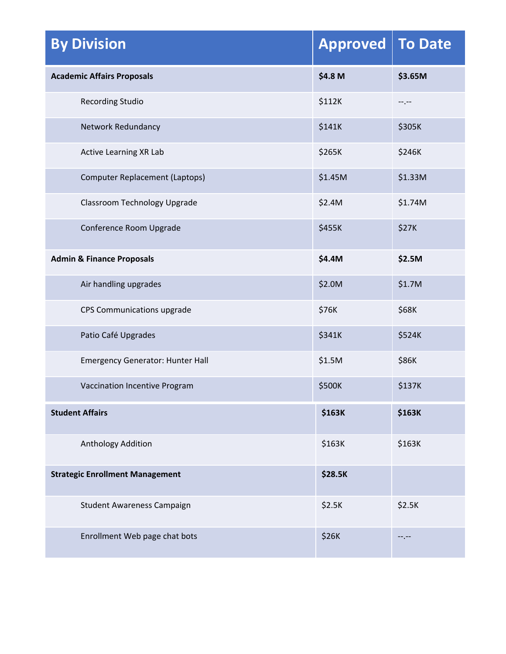| <b>By Division</b>                      | <b>Approved</b> | <b>To Date</b> |
|-----------------------------------------|-----------------|----------------|
| <b>Academic Affairs Proposals</b>       | \$4.8 M         | \$3.65M        |
| <b>Recording Studio</b>                 | \$112K          | --.--          |
| Network Redundancy                      | \$141K          | \$305K         |
| Active Learning XR Lab                  | \$265K          | \$246K         |
| Computer Replacement (Laptops)          | \$1.45M         | \$1.33M        |
| Classroom Technology Upgrade            | \$2.4M          | \$1.74M        |
| Conference Room Upgrade                 | \$455K          | <b>\$27K</b>   |
| <b>Admin &amp; Finance Proposals</b>    | \$4.4M          | \$2.5M         |
| Air handling upgrades                   | \$2.0M          | \$1.7M         |
| CPS Communications upgrade              | \$76K           | \$68K          |
| Patio Café Upgrades                     | \$341K          | \$524K         |
| <b>Emergency Generator: Hunter Hall</b> | \$1.5M          | \$86K          |
| Vaccination Incentive Program           | \$500K          | \$137K         |
| <b>Student Affairs</b>                  | \$163K          | \$163K         |
| Anthology Addition                      | \$163K          | \$163K         |
| <b>Strategic Enrollment Management</b>  | <b>\$28.5K</b>  |                |
| Student Awareness Campaign              | \$2.5K          | \$2.5K         |
| Enrollment Web page chat bots           | \$26K           | --.--          |